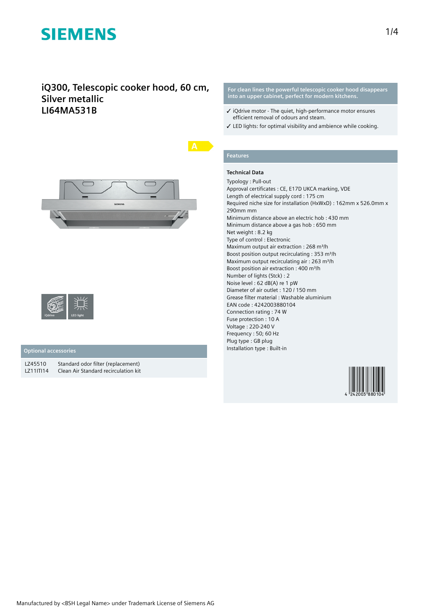### **iQ300, Telescopic cooker hood, 60 cm, Silver metallic LI64MA531B**





### **Optional accessories**

LZ45510 Standard odor filter (replacement)<br>LZ11ITI14 Clean Air Standard recirculation kit Clean Air Standard recirculation kit **For clean lines the powerful telescopic cooker hood disappears into an upper cabinet, perfect for modern kitchens.**

- ✓ iQdrive motor The quiet, high-performance motor ensures efficient removal of odours and steam.
- ✓ LED lights: for optimal visibility and ambience while cooking.

## **Features**

### **Technical Data**

Typology : Pull-out Approval certificates : CE, E17D UKCA marking, VDE Length of electrical supply cord : 175 cm Required niche size for installation (HxWxD) : 162mm x 526.0mm x 290mm mm Minimum distance above an electric hob : 430 mm Minimum distance above a gas hob : 650 mm Net weight : 8.2 kg Type of control : Electronic Maximum output air extraction : 268 m<sup>3</sup>/h Boost position output recirculating : 353 m<sup>3</sup>/h Maximum output recirculating air : 263 m<sup>3</sup>/h Boost position air extraction : 400 m<sup>3</sup>/h Number of lights (Stck) : 2 Noise level : 62 dB(A) re 1 pW Diameter of air outlet : 120 / 150 mm Grease filter material : Washable aluminium EAN code : 4242003880104 Connection rating : 74 W Fuse protection : 10 A Voltage : 220-240 V Frequency : 50; 60 Hz Plug type : GB plug Installation type : Built-in

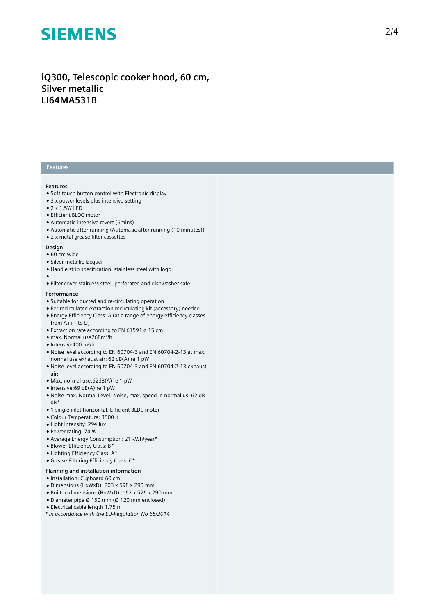## iQ300, Telescopic cooker hood, 60 cm, **Silver metallic LI64MA531B**

### **Features**

### **Features**

- Soft touch button control with Electronic display
- $\bullet$  3 x power levels plus intensive setting
- $\bullet$  2 x 1.5W LED
- Efficient BLDC motor
- Automatic intensive revert (6mins)
- Automatic after running (Automatic after running (10 minutes))
- 2 x metal grease filter cassettes

#### **Design**

- $60$  cm wide
- Silver metallic lacquer
- Handle strip specification: stainless steel with logo
- 
- ●<br>● Filter cover stainless steel, perforated and dishwasher safe

#### **P e r f o r m a n c e**

- Suitable for ducted and re-circulating operation
- For recirculated extraction recirculating kit (accessory) needed
- $\bullet$  Energy Efficiency Class: A (at a range of energy efficiency classes from  $A_{+++}$  to D)
- $\bullet$  Extraction rate according to EN 61591 ø 15 cm:
- max. Normal use268m³/h
- Intensive400 m³/h
- Noise level according to EN 60704-3 and EN 60704-2-13 at max. normal use exhaust air: 62 dB(A) re 1 pW
- Noise level according to EN 60704-3 and EN 60704-2-13 exhaust a i r :
- Max. normal use:62dB(A) re 1 pW
- Intensive:69 dB(A) re 1 pW
- Noise max. Normal Level: Noise, max. speed in normal us: 62 dB dB\*
- 1 single inlet horizontal, Efficient BLDC motor
- Colour Temperature: 3500 K
- Light Intensity: 294 lux
- Power rating: 74 W
- Average Energy Consumption: 21 kWh/year\*
- Blower Efficiency Class: B\*
- Lighting Efficiency Class: A\*
- Grease Filtering Efficiency Class: C\*

#### Planning and installation information

- Installation: Cupboard 60 cm
- Dimensions (HxWxD): 203 x 598 x 290 mm
- Built-in dimensions (HxWxD): 162 x 526 x 290 mm
- Diameter pipe Ø 150 mm (Ø 120 mm enclosed)
- Electrical cable length 1.75 m
- *\* In accordance with the EU-Regulation No 65/2014*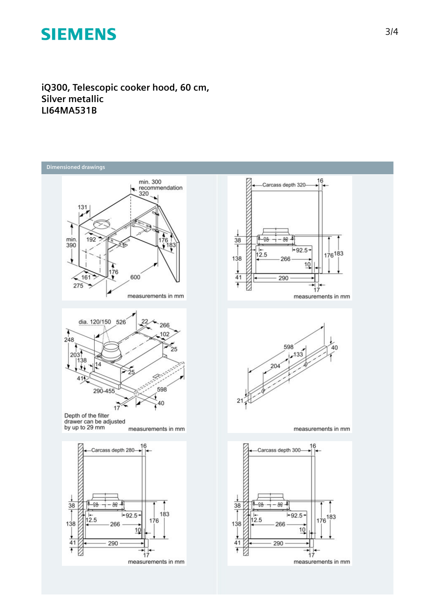**iQ300, Telescopic cooker hood, 60 cm, Silver metallic LI64MA531B**